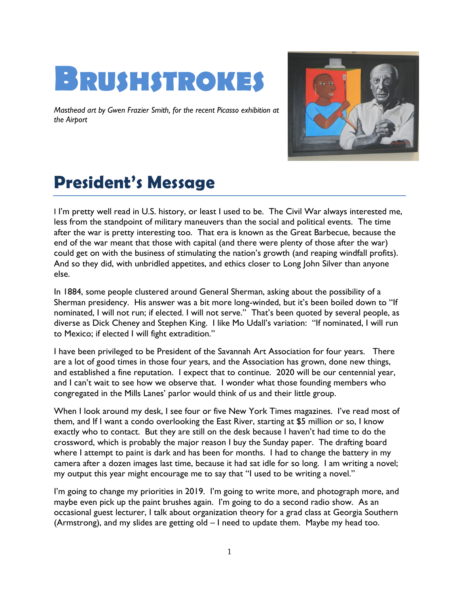

*Masthead art by Gwen Frazier Smith, for the recent Picasso exhibition at the Airport*



# **President's Message**

I I'm pretty well read in U.S. history, or least I used to be. The Civil War always interested me, less from the standpoint of military maneuvers than the social and political events. The time after the war is pretty interesting too. That era is known as the Great Barbecue, because the end of the war meant that those with capital (and there were plenty of those after the war) could get on with the business of stimulating the nation's growth (and reaping windfall profits). And so they did, with unbridled appetites, and ethics closer to Long John Silver than anyone else.

In 1884, some people clustered around General Sherman, asking about the possibility of a Sherman presidency. His answer was a bit more long-winded, but it's been boiled down to "If nominated, I will not run; if elected. I will not serve." That's been quoted by several people, as diverse as Dick Cheney and Stephen King. I like Mo Udall's variation: "If nominated, I will run to Mexico; if elected I will fight extradition."

I have been privileged to be President of the Savannah Art Association for four years. There are a lot of good times in those four years, and the Association has grown, done new things, and established a fine reputation. I expect that to continue. 2020 will be our centennial year, and I can't wait to see how we observe that. I wonder what those founding members who congregated in the Mills Lanes' parlor would think of us and their little group.

When I look around my desk, I see four or five New York Times magazines. I've read most of them, and If I want a condo overlooking the East River, starting at \$5 million or so, I know exactly who to contact. But they are still on the desk because I haven't had time to do the crossword, which is probably the major reason I buy the Sunday paper. The drafting board where I attempt to paint is dark and has been for months. I had to change the battery in my camera after a dozen images last time, because it had sat idle for so long. I am writing a novel; my output this year might encourage me to say that "I used to be writing a novel."

I'm going to change my priorities in 2019. I'm going to write more, and photograph more, and maybe even pick up the paint brushes again. I'm going to do a second radio show. As an occasional guest lecturer, I talk about organization theory for a grad class at Georgia Southern (Armstrong), and my slides are getting old – I need to update them. Maybe my head too.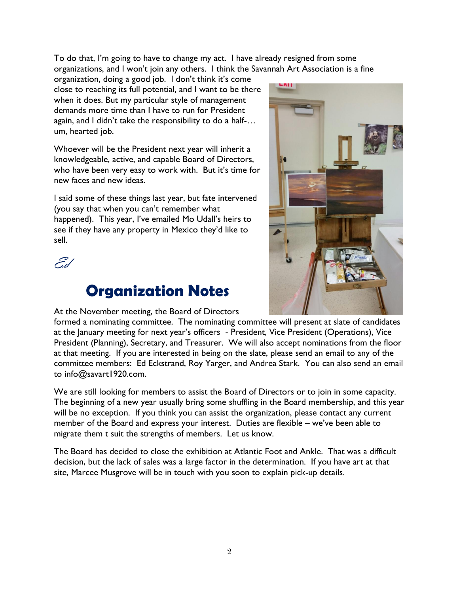To do that, I'm going to have to change my act. I have already resigned from some organizations, and I won't join any others. I think the Savannah Art Association is a fine

organization, doing a good job. I don't think it's come close to reaching its full potential, and I want to be there when it does. But my particular style of management demands more time than I have to run for President again, and I didn't take the responsibility to do a half-… um, hearted job.

Whoever will be the President next year will inherit a knowledgeable, active, and capable Board of Directors, who have been very easy to work with. But it's time for new faces and new ideas.

I said some of these things last year, but fate intervened (you say that when you can't remember what happened). This year, I've emailed Mo Udall's heirs to see if they have any property in Mexico they'd like to sell.



### **Organization Notes**



At the November meeting, the Board of Directors

formed a nominating committee. The nominating committee will present at slate of candidates at the January meeting for next year's officers - President, Vice President (Operations), Vice President (Planning), Secretary, and Treasurer. We will also accept nominations from the floor at that meeting. If you are interested in being on the slate, please send an email to any of the committee members: Ed Eckstrand, Roy Yarger, and Andrea Stark. You can also send an email to info@savart1920.com.

We are still looking for members to assist the Board of Directors or to join in some capacity. The beginning of a new year usually bring some shuffling in the Board membership, and this year will be no exception. If you think you can assist the organization, please contact any current member of the Board and express your interest. Duties are flexible – we've been able to migrate them t suit the strengths of members. Let us know.

The Board has decided to close the exhibition at Atlantic Foot and Ankle. That was a difficult decision, but the lack of sales was a large factor in the determination. If you have art at that site, Marcee Musgrove will be in touch with you soon to explain pick-up details.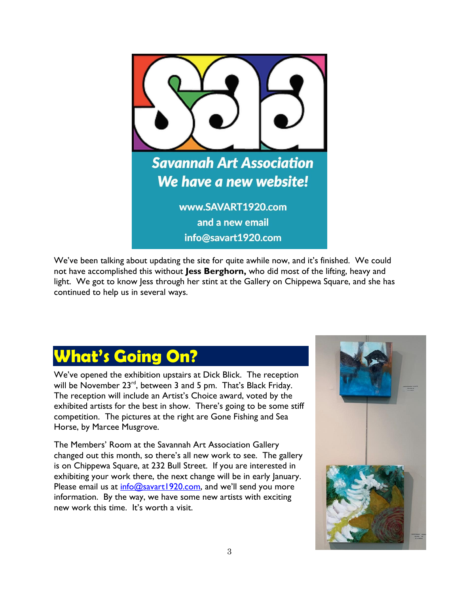

We've been talking about updating the site for quite awhile now, and it's finished. We could not have accomplished this without **Jess Berghorn,** who did most of the lifting, heavy and light. We got to know Jess through her stint at the Gallery on Chippewa Square, and she has continued to help us in several ways.

## **What's Going On?**

We've opened the exhibition upstairs at Dick Blick. The reception will be November 23<sup>rd</sup>, between 3 and 5 pm. That's Black Friday. The reception will include an Artist's Choice award, voted by the exhibited artists for the best in show. There's going to be some stiff competition. The pictures at the right are Gone Fishing and Sea Horse, by Marcee Musgrove.

The Members' Room at the Savannah Art Association Gallery changed out this month, so there's all new work to see. The gallery is on Chippewa Square, at 232 Bull Street. If you are interested in exhibiting your work there, the next change will be in early January. Please email us at  $info@savart1920.com$ , and we'll send you more information. By the way, we have some new artists with exciting new work this time. It's worth a visit.

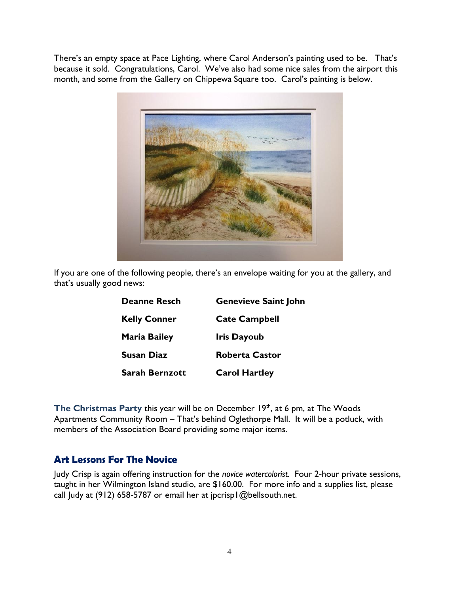There's an empty space at Pace Lighting, where Carol Anderson's painting used to be. That's because it sold. Congratulations, Carol. We've also had some nice sales from the airport this month, and some from the Gallery on Chippewa Square too. Carol's painting is below.



If you are one of the following people, there's an envelope waiting for you at the gallery, and that's usually good news:

| <b>Deanne Resch</b>   | <b>Genevieve Saint John</b> |
|-----------------------|-----------------------------|
| <b>Kelly Conner</b>   | <b>Cate Campbell</b>        |
| <b>Maria Bailey</b>   | <b>Iris Dayoub</b>          |
| <b>Susan Diaz</b>     | <b>Roberta Castor</b>       |
| <b>Sarah Bernzott</b> | <b>Carol Hartley</b>        |

The Christmas Party this year will be on December 19<sup>th</sup>, at 6 pm, at The Woods Apartments Community Room – That's behind Oglethorpe Mall. It will be a potluck, with members of the Association Board providing some major items.

#### **Art Lessons For The Novice**

Judy Crisp is again offering instruction for the *novice watercolorist.* Four 2-hour private sessions, taught in her Wilmington Island studio, are \$160.00. For more info and a supplies list, please call Judy at (912) 658-5787 or email her at jpcrisp1@bellsouth.net.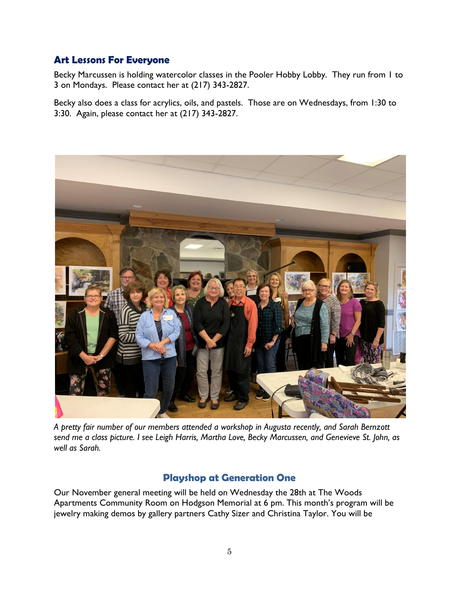#### **Art Lessons For Everyone**

Becky Marcussen is holding watercolor classes in the Pooler Hobby Lobby. They run from 1 to 3 on Mondays. Please contact her at (217) 343-2827.

Becky also does a class for acrylics, oils, and pastels. Those are on Wednesdays, from 1:30 to 3:30. Again, please contact her at (217) 343-2827.



*A pretty fair number of our members attended a workshop in Augusta recently, and Sarah Bernzott send me a class picture. I see Leigh Harris, Martha Love, Becky Marcussen, and Genevieve St. John, as well as Sarah.*

#### **Playshop at Generation One**

Our November general meeting will be held on Wednesday the 28th at The Woods Apartments Community Room on Hodgson Memorial at 6 pm. This month's program will be jewelry making demos by gallery partners Cathy Sizer and Christina Taylor. You will be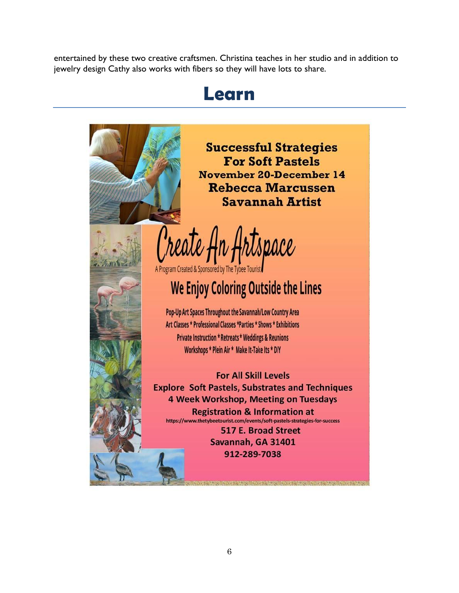entertained by these two creative craftsmen. Christina teaches in her studio and in addition to jewelry design Cathy also works with fibers so they will have lots to share.

### **Learn**



**Successful Strategies For Soft Pastels November 20-December 14 Rebecca Marcussen Savannah Artist** 

'reate rtspace

A Program Created & Sponsored by The Tybee Tourist

## We Enjoy Coloring Outside the Lines

Pop-Up Art Spaces Throughout the Savannah/Low Country Area Art Classes \* Professional Classes \*Parties \* Shows \* Exhibitions **Private Instruction \* Retreats \* Weddings & Reunions** Workshops \* Plein Air \* Make It-Take Its \* DIY

**For All Skill Levels Explore Soft Pastels, Substrates and Techniques** 4 Week Workshop, Meeting on Tuesdays **Registration & Information at** https://www.thetybeetourist.com/events/soft-pastels-strategies-for-success

> 517 E. Broad Street Savannah, GA 31401 912-289-7038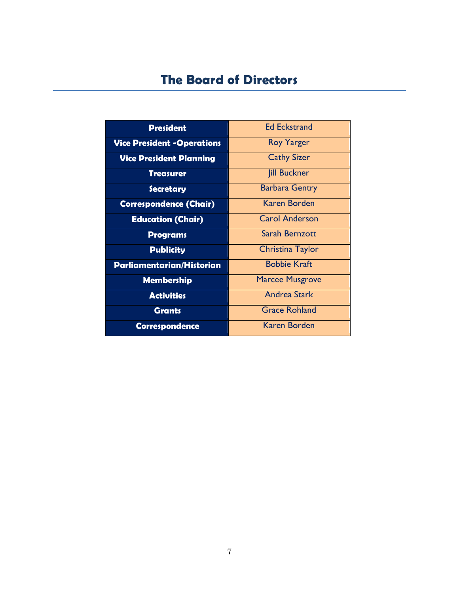### **The Board of Directors**

| <b>President</b>                  | <b>Ed Eckstrand</b>    |
|-----------------------------------|------------------------|
| <b>Vice President -Operations</b> | <b>Roy Yarger</b>      |
| <b>Vice President Planning</b>    | <b>Cathy Sizer</b>     |
| Treasurer                         | <b>Jill Buckner</b>    |
| <b>Secretary</b>                  | <b>Barbara Gentry</b>  |
| <b>Correspondence (Chair)</b>     | <b>Karen Borden</b>    |
| <b>Education (Chair)</b>          | <b>Carol Anderson</b>  |
| <b>Programs</b>                   | Sarah Bernzott         |
| <b>Publicity</b>                  | Christina Taylor       |
| Parliamentarian/Historian         | <b>Bobbie Kraft</b>    |
| <b>Membership</b>                 | <b>Marcee Musgrove</b> |
| <b>Activities</b>                 | <b>Andrea Stark</b>    |
| <b>Grants</b>                     | <b>Grace Rohland</b>   |
| <b>Correspondence</b>             | Karen Borden           |